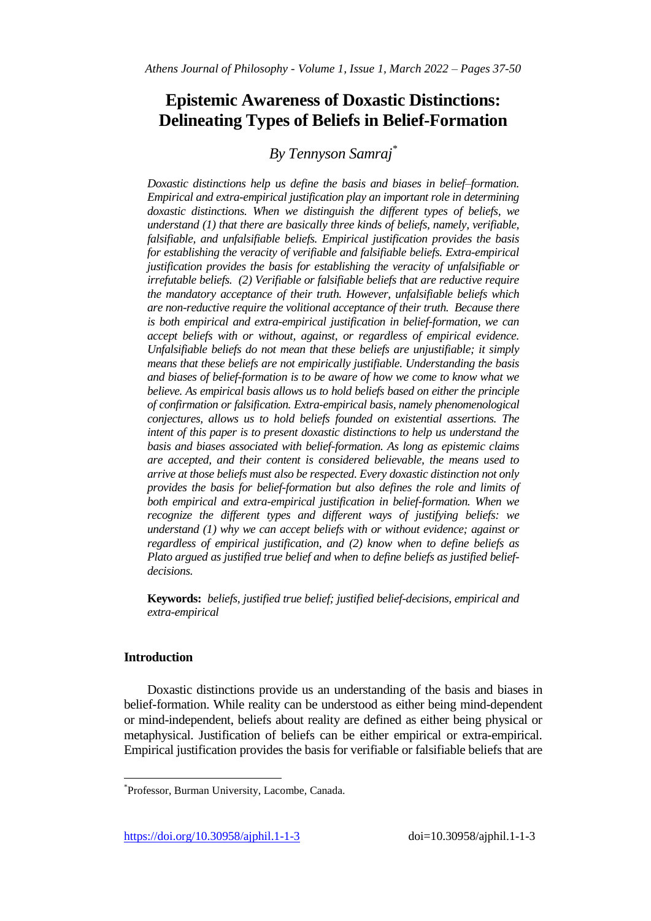# **Epistemic Awareness of Doxastic Distinctions: Delineating Types of Beliefs in Belief-Formation**

# *By Tennyson Samraj\**

*Doxastic distinctions help us define the basis and biases in belief–formation. Empirical and extra-empirical justification play an important role in determining doxastic distinctions. When we distinguish the different types of beliefs, we understand (1) that there are basically three kinds of beliefs, namely, verifiable, falsifiable, and unfalsifiable beliefs. Empirical justification provides the basis for establishing the veracity of verifiable and falsifiable beliefs. Extra-empirical justification provides the basis for establishing the veracity of unfalsifiable or irrefutable beliefs. (2) Verifiable or falsifiable beliefs that are reductive require the mandatory acceptance of their truth. However, unfalsifiable beliefs which are non-reductive require the volitional acceptance of their truth. Because there is both empirical and extra-empirical justification in belief-formation, we can accept beliefs with or without, against, or regardless of empirical evidence. Unfalsifiable beliefs do not mean that these beliefs are unjustifiable; it simply means that these beliefs are not empirically justifiable. Understanding the basis and biases of belief-formation is to be aware of how we come to know what we believe. As empirical basis allows us to hold beliefs based on either the principle of confirmation or falsification. Extra-empirical basis, namely phenomenological conjectures, allows us to hold beliefs founded on existential assertions. The intent of this paper is to present doxastic distinctions to help us understand the basis and biases associated with belief-formation. As long as epistemic claims are accepted, and their content is considered believable, the means used to arrive at those beliefs must also be respected. Every doxastic distinction not only provides the basis for belief-formation but also defines the role and limits of both empirical and extra-empirical justification in belief-formation. When we recognize the different types and different ways of justifying beliefs: we understand (1) why we can accept beliefs with or without evidence; against or regardless of empirical justification, and (2) know when to define beliefs as Plato argued as justified true belief and when to define beliefs as justified beliefdecisions.* 

**Keywords:** *beliefs, justified true belief; justified belief-decisions, empirical and extra-empirical* 

# **Introduction**

 $\overline{a}$ 

Doxastic distinctions provide us an understanding of the basis and biases in belief-formation. While reality can be understood as either being mind-dependent or mind-independent, beliefs about reality are defined as either being physical or metaphysical. Justification of beliefs can be either empirical or extra-empirical. Empirical justification provides the basis for verifiable or falsifiable beliefs that are

<sup>\*</sup> Professor, Burman University, Lacombe, Canada.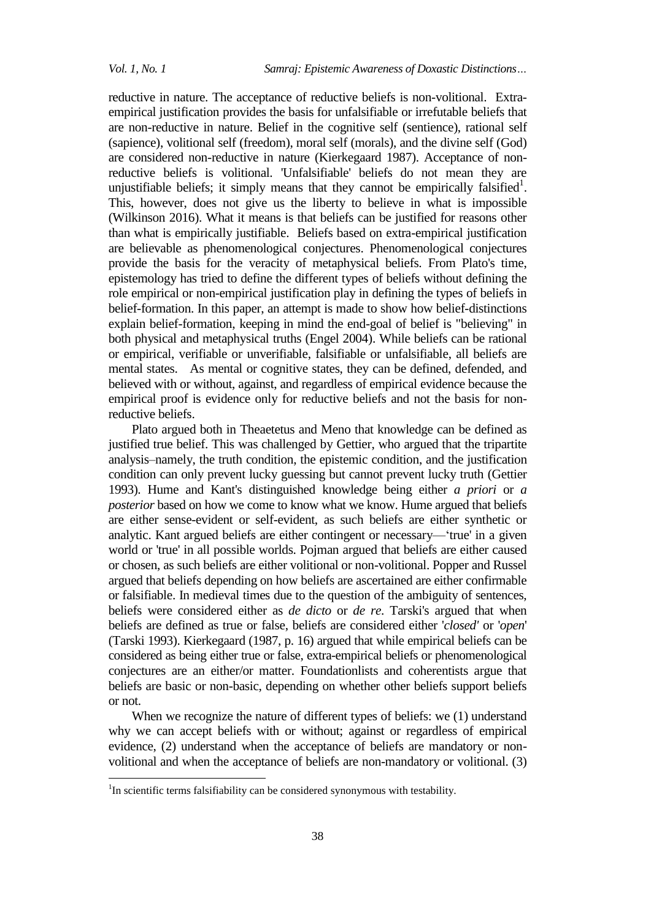1

reductive in nature. The acceptance of reductive beliefs is non-volitional. Extraempirical justification provides the basis for unfalsifiable or irrefutable beliefs that are non-reductive in nature. Belief in the cognitive self (sentience), rational self (sapience), volitional self (freedom), moral self (morals), and the divine self (God) are considered non-reductive in nature (Kierkegaard 1987). Acceptance of nonreductive beliefs is volitional. 'Unfalsifiable' beliefs do not mean they are unjustifiable beliefs; it simply means that they cannot be empirically falsified<sup>1</sup>. This, however, does not give us the liberty to believe in what is impossible (Wilkinson 2016). What it means is that beliefs can be justified for reasons other than what is empirically justifiable. Beliefs based on extra-empirical justification are believable as phenomenological conjectures. Phenomenological conjectures provide the basis for the veracity of metaphysical beliefs. From Plato's time, epistemology has tried to define the different types of beliefs without defining the role empirical or non-empirical justification play in defining the types of beliefs in belief-formation. In this paper, an attempt is made to show how belief-distinctions explain belief-formation, keeping in mind the end-goal of belief is "believing" in both physical and metaphysical truths (Engel 2004). While beliefs can be rational or empirical, verifiable or unverifiable, falsifiable or unfalsifiable, all beliefs are mental states. As mental or cognitive states, they can be defined, defended, and believed with or without, against, and regardless of empirical evidence because the empirical proof is evidence only for reductive beliefs and not the basis for nonreductive beliefs.

Plato argued both in Theaetetus and Meno that knowledge can be defined as justified true belief. This was challenged by Gettier, who argued that the tripartite analysis–namely, the truth condition, the epistemic condition, and the justification condition can only prevent lucky guessing but cannot prevent lucky truth (Gettier 1993). Hume and Kant's distinguished knowledge being either *a priori* or *a posterior* based on how we come to know what we know. Hume argued that beliefs are either sense-evident or self-evident, as such beliefs are either synthetic or analytic. Kant argued beliefs are either contingent or necessary—'true' in a given world or 'true' in all possible worlds. Pojman argued that beliefs are either caused or chosen, as such beliefs are either volitional or non-volitional. Popper and Russel argued that beliefs depending on how beliefs are ascertained are either confirmable or falsifiable. In medieval times due to the question of the ambiguity of sentences, beliefs were considered either as *de dicto* or *de re*. Tarski's argued that when beliefs are defined as true or false, beliefs are considered either '*closed'* or '*open*' (Tarski 1993). Kierkegaard (1987, p. 16) argued that while empirical beliefs can be considered as being either true or false, extra-empirical beliefs or phenomenological conjectures are an either/or matter. Foundationlists and coherentists argue that beliefs are basic or non-basic, depending on whether other beliefs support beliefs or not.

When we recognize the nature of different types of beliefs: we  $(1)$  understand why we can accept beliefs with or without; against or regardless of empirical evidence, (2) understand when the acceptance of beliefs are mandatory or nonvolitional and when the acceptance of beliefs are non-mandatory or volitional. (3)

<sup>&</sup>lt;sup>1</sup>In scientific terms falsifiability can be considered synonymous with testability.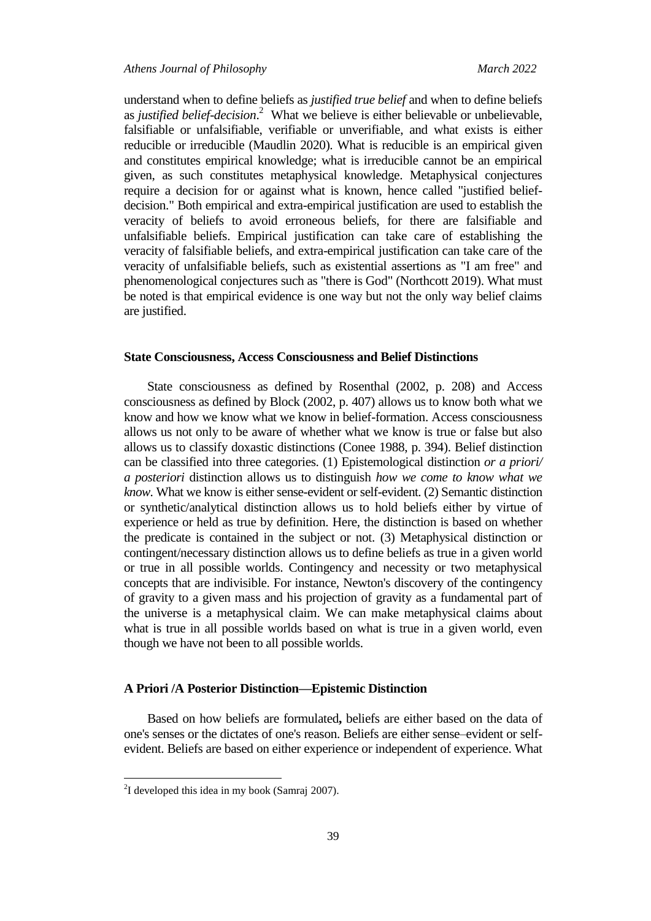understand when to define beliefs as *justified true belief* and when to define beliefs as *justified belief-decision*.<sup>2</sup> What we believe is either believable or unbelievable, falsifiable or unfalsifiable, verifiable or unverifiable, and what exists is either reducible or irreducible (Maudlin 2020). What is reducible is an empirical given and constitutes empirical knowledge; what is irreducible cannot be an empirical given, as such constitutes metaphysical knowledge. Metaphysical conjectures require a decision for or against what is known, hence called "justified beliefdecision." Both empirical and extra-empirical justification are used to establish the veracity of beliefs to avoid erroneous beliefs, for there are falsifiable and unfalsifiable beliefs. Empirical justification can take care of establishing the veracity of falsifiable beliefs, and extra-empirical justification can take care of the veracity of unfalsifiable beliefs, such as existential assertions as "I am free" and phenomenological conjectures such as "there is God" (Northcott 2019). What must be noted is that empirical evidence is one way but not the only way belief claims are justified.

#### **State Consciousness, Access Consciousness and Belief Distinctions**

State consciousness as defined by Rosenthal (2002, p. 208) and Access consciousness as defined by Block (2002, p. 407) allows us to know both what we know and how we know what we know in belief-formation. Access consciousness allows us not only to be aware of whether what we know is true or false but also allows us to classify doxastic distinctions (Conee 1988, p. 394). Belief distinction can be classified into three categories. (1) Epistemological distinction *or a priori/ a posteriori* distinction allows us to distinguish *how we come to know what we know.* What we know is either sense-evident or self-evident. (2) Semantic distinction or synthetic/analytical distinction allows us to hold beliefs either by virtue of experience or held as true by definition. Here, the distinction is based on whether the predicate is contained in the subject or not. (3) Metaphysical distinction or contingent/necessary distinction allows us to define beliefs as true in a given world or true in all possible worlds. Contingency and necessity or two metaphysical concepts that are indivisible. For instance, Newton's discovery of the contingency of gravity to a given mass and his projection of gravity as a fundamental part of the universe is a metaphysical claim. We can make metaphysical claims about what is true in all possible worlds based on what is true in a given world, even though we have not been to all possible worlds.

## **A Priori /A Posterior Distinction—Epistemic Distinction**

Based on how beliefs are formulated**,** beliefs are either based on the data of one's senses or the dictates of one's reason. Beliefs are either sense–evident or selfevident. Beliefs are based on either experience or independent of experience. What

 $\overline{a}$ 

 $2$ I developed this idea in my book (Samraj 2007).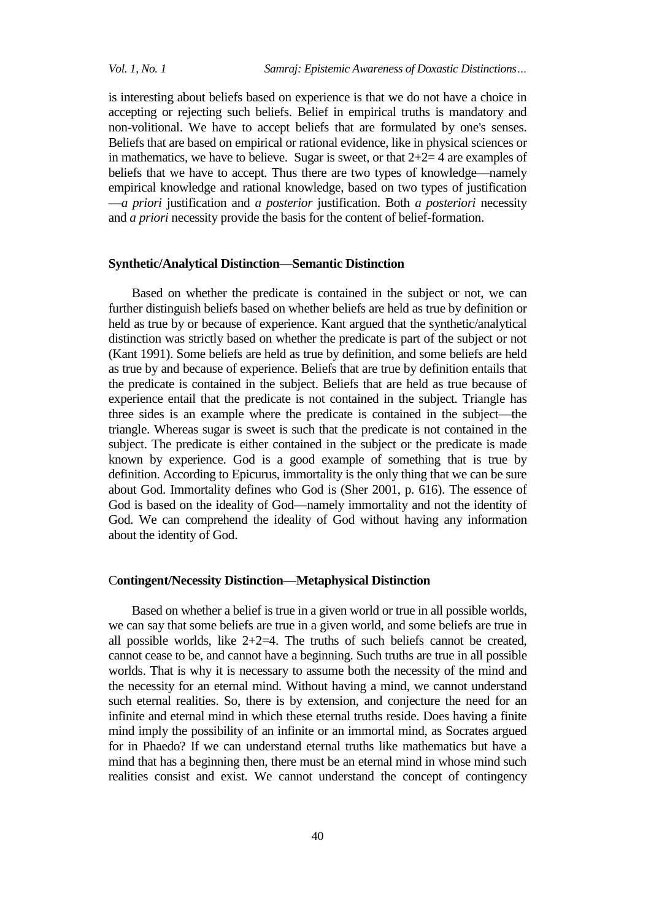*Vol. 1, No. 1 Samraj: Epistemic Awareness of Doxastic Distinctions…*

is interesting about beliefs based on experience is that we do not have a choice in accepting or rejecting such beliefs. Belief in empirical truths is mandatory and non-volitional. We have to accept beliefs that are formulated by one's senses. Beliefs that are based on empirical or rational evidence, like in physical sciences or in mathematics, we have to believe. Sugar is sweet, or that  $2+2=4$  are examples of beliefs that we have to accept. Thus there are two types of knowledge—namely empirical knowledge and rational knowledge, based on two types of justification —*a priori* justification and *a posterior* justification. Both *a posteriori* necessity and *a priori* necessity provide the basis for the content of belief-formation.

### **Synthetic/Analytical Distinction—Semantic Distinction**

Based on whether the predicate is contained in the subject or not, we can further distinguish beliefs based on whether beliefs are held as true by definition or held as true by or because of experience. Kant argued that the synthetic/analytical distinction was strictly based on whether the predicate is part of the subject or not (Kant 1991). Some beliefs are held as true by definition, and some beliefs are held as true by and because of experience. Beliefs that are true by definition entails that the predicate is contained in the subject. Beliefs that are held as true because of experience entail that the predicate is not contained in the subject. Triangle has three sides is an example where the predicate is contained in the subject—the triangle. Whereas sugar is sweet is such that the predicate is not contained in the subject. The predicate is either contained in the subject or the predicate is made known by experience. God is a good example of something that is true by definition. According to Epicurus, immortality is the only thing that we can be sure about God. Immortality defines who God is (Sher 2001, p. 616). The essence of God is based on the ideality of God—namely immortality and not the identity of God. We can comprehend the ideality of God without having any information about the identity of God.

## C**ontingent/Necessity Distinction—Metaphysical Distinction**

Based on whether a belief is true in a given world or true in all possible worlds, we can say that some beliefs are true in a given world, and some beliefs are true in all possible worlds, like  $2+2=4$ . The truths of such beliefs cannot be created, cannot cease to be, and cannot have a beginning. Such truths are true in all possible worlds. That is why it is necessary to assume both the necessity of the mind and the necessity for an eternal mind. Without having a mind, we cannot understand such eternal realities. So, there is by extension, and conjecture the need for an infinite and eternal mind in which these eternal truths reside. Does having a finite mind imply the possibility of an infinite or an immortal mind, as Socrates argued for in Phaedo? If we can understand eternal truths like mathematics but have a mind that has a beginning then, there must be an eternal mind in whose mind such realities consist and exist. We cannot understand the concept of contingency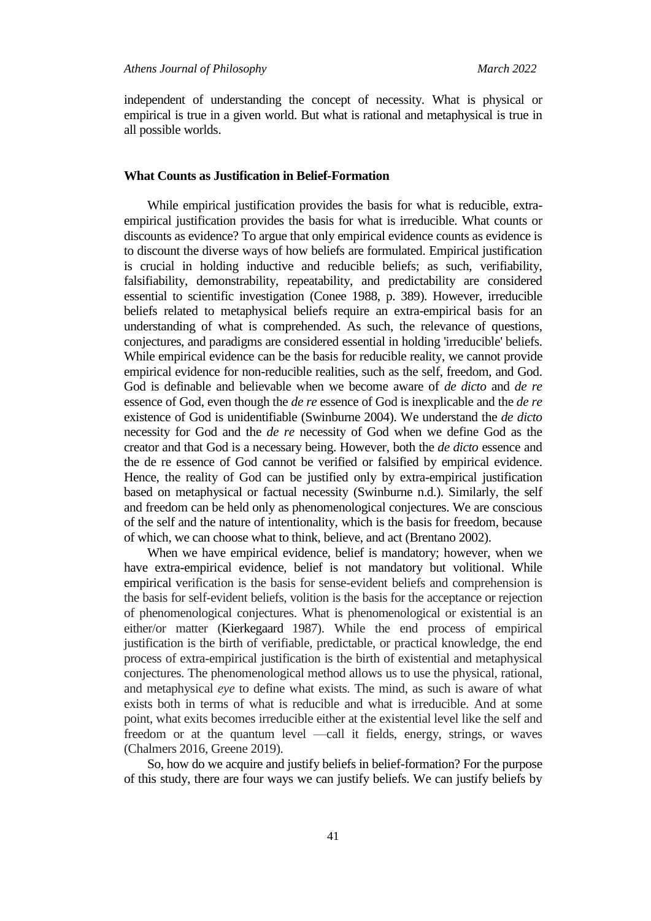independent of understanding the concept of necessity. What is physical or empirical is true in a given world. But what is rational and metaphysical is true in all possible worlds.

### **What Counts as Justification in Belief-Formation**

While empirical justification provides the basis for what is reducible, extraempirical justification provides the basis for what is irreducible. What counts or discounts as evidence? To argue that only empirical evidence counts as evidence is to discount the diverse ways of how beliefs are formulated. Empirical justification is crucial in holding inductive and reducible beliefs; as such, verifiability, falsifiability, demonstrability, repeatability, and predictability are considered essential to scientific investigation (Conee 1988, p. 389). However, irreducible beliefs related to metaphysical beliefs require an extra-empirical basis for an understanding of what is comprehended. As such, the relevance of questions, conjectures, and paradigms are considered essential in holding 'irreducible' beliefs. While empirical evidence can be the basis for reducible reality, we cannot provide empirical evidence for non-reducible realities, such as the self, freedom, and God. God is definable and believable when we become aware of *de dicto* and *de re* essence of God, even though the *de re* essence of God is inexplicable and the *de re* existence of God is unidentifiable (Swinburne 2004). We understand the *de dicto* necessity for God and the *de re* necessity of God when we define God as the creator and that God is a necessary being. However, both the *de dicto* essence and the de re essence of God cannot be verified or falsified by empirical evidence. Hence, the reality of God can be justified only by extra-empirical justification based on metaphysical or factual necessity (Swinburne n.d.). Similarly, the self and freedom can be held only as phenomenological conjectures. We are conscious of the self and the nature of intentionality, which is the basis for freedom, because of which, we can choose what to think, believe, and act (Brentano 2002).

When we have empirical evidence, belief is mandatory; however, when we have extra-empirical evidence, belief is not mandatory but volitional. While empirical verification is the basis for sense-evident beliefs and comprehension is the basis for self-evident beliefs, volition is the basis for the acceptance or rejection of phenomenological conjectures. What is phenomenological or existential is an either/or matter (Kierkegaard 1987). While the end process of empirical justification is the birth of verifiable, predictable, or practical knowledge, the end process of extra-empirical justification is the birth of existential and metaphysical conjectures. The phenomenological method allows us to use the physical, rational, and metaphysical *eye* to define what exists. The mind, as such is aware of what exists both in terms of what is reducible and what is irreducible. And at some point, what exits becomes irreducible either at the existential level like the self and freedom or at the quantum level —call it fields, energy, strings, or waves (Chalmers 2016, Greene 2019).

So, how do we acquire and justify beliefs in belief-formation? For the purpose of this study, there are four ways we can justify beliefs. We can justify beliefs by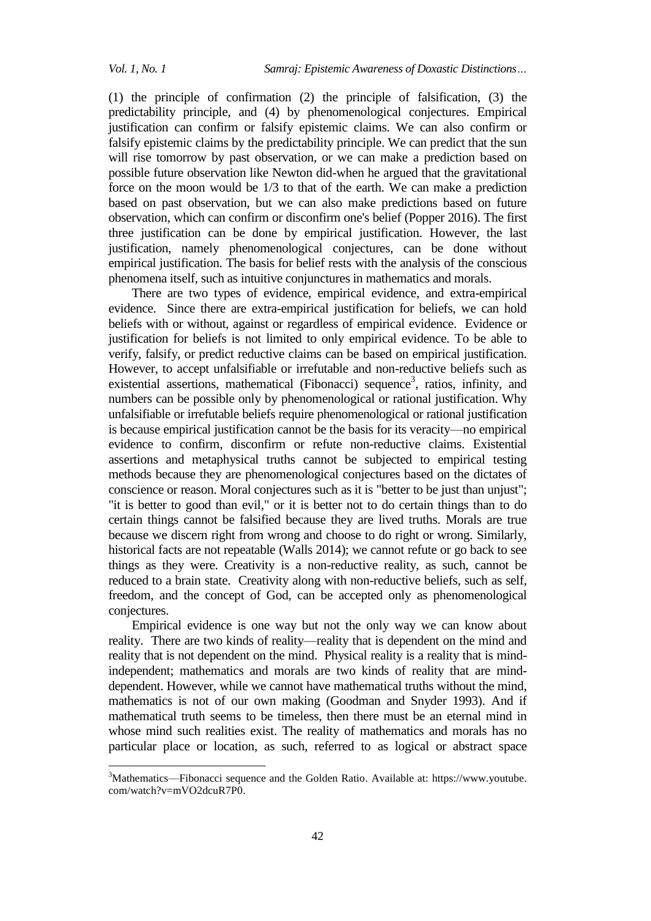$\overline{a}$ 

(1) the principle of confirmation (2) the principle of falsification, (3) the predictability principle, and (4) by phenomenological conjectures. Empirical justification can confirm or falsify epistemic claims. We can also confirm or falsify epistemic claims by the predictability principle. We can predict that the sun will rise tomorrow by past observation, or we can make a prediction based on possible future observation like Newton did-when he argued that the gravitational force on the moon would be 1/3 to that of the earth. We can make a prediction based on past observation, but we can also make predictions based on future observation, which can confirm or disconfirm one's belief (Popper 2016). The first three justification can be done by empirical justification. However, the last justification, namely phenomenological conjectures, can be done without empirical justification. The basis for belief rests with the analysis of the conscious phenomena itself, such as intuitive conjunctures in mathematics and morals.

There are two types of evidence, empirical evidence, and extra-empirical evidence. Since there are extra-empirical justification for beliefs, we can hold beliefs with or without, against or regardless of empirical evidence. Evidence or justification for beliefs is not limited to only empirical evidence. To be able to verify, falsify, or predict reductive claims can be based on empirical justification. However, to accept unfalsifiable or irrefutable and non-reductive beliefs such as existential assertions, mathematical (Fibonacci) sequence<sup>3</sup>, ratios, infinity, and numbers can be possible only by phenomenological or rational justification. Why unfalsifiable or irrefutable beliefs require phenomenological or rational justification is because empirical justification cannot be the basis for its veracity—no empirical evidence to confirm, disconfirm or refute non-reductive claims. Existential assertions and metaphysical truths cannot be subjected to empirical testing methods because they are phenomenological conjectures based on the dictates of conscience or reason. Moral conjectures such as it is "better to be just than unjust"; "it is better to good than evil," or it is better not to do certain things than to do certain things cannot be falsified because they are lived truths. Morals are true because we discern right from wrong and choose to do right or wrong. Similarly, historical facts are not repeatable (Walls 2014); we cannot refute or go back to see things as they were. Creativity is a non-reductive reality, as such, cannot be reduced to a brain state. Creativity along with non-reductive beliefs, such as self, freedom, and the concept of God, can be accepted only as phenomenological conjectures.

Empirical evidence is one way but not the only way we can know about reality. There are two kinds of reality—reality that is dependent on the mind and reality that is not dependent on the mind. Physical reality is a reality that is mindindependent; mathematics and morals are two kinds of reality that are minddependent. However, while we cannot have mathematical truths without the mind, mathematics is not of our own making (Goodman and Snyder 1993). And if mathematical truth seems to be timeless, then there must be an eternal mind in whose mind such realities exist. The reality of mathematics and morals has no particular place or location, as such, referred to as logical or abstract space

<sup>3</sup>Mathematics—Fibonacci sequence and the Golden Ratio. Available at: https://www.youtube. com/watch?v=mVO2dcuR7P0.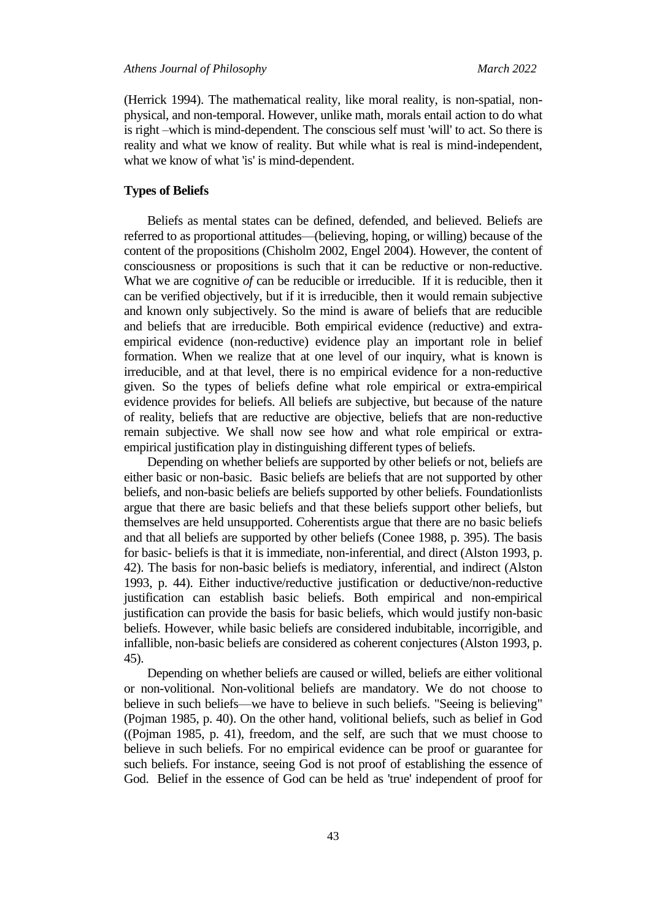(Herrick 1994). The mathematical reality, like moral reality, is non-spatial, nonphysical, and non-temporal. However, unlike math, morals entail action to do what is right –which is mind-dependent. The conscious self must 'will' to act. So there is reality and what we know of reality. But while what is real is mind-independent, what we know of what 'is' is mind-dependent.

## **Types of Beliefs**

Beliefs as mental states can be defined, defended, and believed. Beliefs are referred to as proportional attitudes—(believing, hoping, or willing) because of the content of the propositions (Chisholm 2002, Engel 2004). However, the content of consciousness or propositions is such that it can be reductive or non-reductive. What we are cognitive *of* can be reducible or irreducible. If it is reducible, then it can be verified objectively, but if it is irreducible, then it would remain subjective and known only subjectively. So the mind is aware of beliefs that are reducible and beliefs that are irreducible. Both empirical evidence (reductive) and extraempirical evidence (non-reductive) evidence play an important role in belief formation. When we realize that at one level of our inquiry, what is known is irreducible, and at that level, there is no empirical evidence for a non-reductive given. So the types of beliefs define what role empirical or extra-empirical evidence provides for beliefs. All beliefs are subjective, but because of the nature of reality, beliefs that are reductive are objective, beliefs that are non-reductive remain subjective. We shall now see how and what role empirical or extraempirical justification play in distinguishing different types of beliefs.

Depending on whether beliefs are supported by other beliefs or not, beliefs are either basic or non-basic. Basic beliefs are beliefs that are not supported by other beliefs, and non-basic beliefs are beliefs supported by other beliefs. Foundationlists argue that there are basic beliefs and that these beliefs support other beliefs, but themselves are held unsupported. Coherentists argue that there are no basic beliefs and that all beliefs are supported by other beliefs (Conee 1988, p. 395). The basis for basic- beliefs is that it is immediate, non-inferential, and direct (Alston 1993, p. 42). The basis for non-basic beliefs is mediatory, inferential, and indirect (Alston 1993, p. 44). Either inductive/reductive justification or deductive/non-reductive justification can establish basic beliefs. Both empirical and non-empirical justification can provide the basis for basic beliefs, which would justify non-basic beliefs. However, while basic beliefs are considered indubitable, incorrigible, and infallible, non-basic beliefs are considered as coherent conjectures (Alston 1993, p. 45).

Depending on whether beliefs are caused or willed, beliefs are either volitional or non-volitional. Non-volitional beliefs are mandatory. We do not choose to believe in such beliefs—we have to believe in such beliefs. "Seeing is believing" (Pojman 1985, p. 40). On the other hand, volitional beliefs, such as belief in God ((Pojman 1985, p. 41), freedom, and the self, are such that we must choose to believe in such beliefs. For no empirical evidence can be proof or guarantee for such beliefs. For instance, seeing God is not proof of establishing the essence of God. Belief in the essence of God can be held as 'true' independent of proof for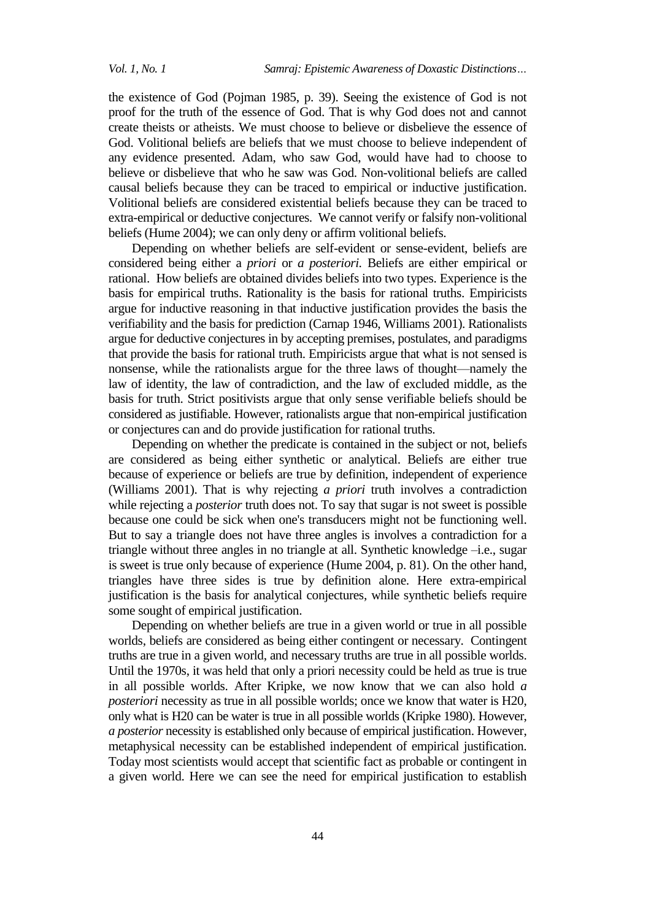the existence of God (Pojman 1985, p. 39). Seeing the existence of God is not proof for the truth of the essence of God. That is why God does not and cannot create theists or atheists. We must choose to believe or disbelieve the essence of God. Volitional beliefs are beliefs that we must choose to believe independent of any evidence presented. Adam, who saw God, would have had to choose to believe or disbelieve that who he saw was God. Non-volitional beliefs are called causal beliefs because they can be traced to empirical or inductive justification. Volitional beliefs are considered existential beliefs because they can be traced to extra-empirical or deductive conjectures. We cannot verify or falsify non-volitional beliefs (Hume 2004); we can only deny or affirm volitional beliefs.

Depending on whether beliefs are self-evident or sense-evident, beliefs are considered being either a *priori* or *a posteriori.* Beliefs are either empirical or rational. How beliefs are obtained divides beliefs into two types. Experience is the basis for empirical truths. Rationality is the basis for rational truths. Empiricists argue for inductive reasoning in that inductive justification provides the basis the verifiability and the basis for prediction (Carnap 1946, Williams 2001). Rationalists argue for deductive conjectures in by accepting premises, postulates, and paradigms that provide the basis for rational truth. Empiricists argue that what is not sensed is nonsense, while the rationalists argue for the three laws of thought—namely the law of identity, the law of contradiction, and the law of excluded middle, as the basis for truth. Strict positivists argue that only sense verifiable beliefs should be considered as justifiable. However, rationalists argue that non-empirical justification or conjectures can and do provide justification for rational truths.

Depending on whether the predicate is contained in the subject or not, beliefs are considered as being either synthetic or analytical. Beliefs are either true because of experience or beliefs are true by definition, independent of experience (Williams 2001). That is why rejecting *a priori* truth involves a contradiction while rejecting a *posterior* truth does not. To say that sugar is not sweet is possible because one could be sick when one's transducers might not be functioning well. But to say a triangle does not have three angles is involves a contradiction for a triangle without three angles in no triangle at all. Synthetic knowledge –i.e., sugar is sweet is true only because of experience (Hume 2004, p. 81). On the other hand, triangles have three sides is true by definition alone. Here extra-empirical justification is the basis for analytical conjectures, while synthetic beliefs require some sought of empirical justification.

Depending on whether beliefs are true in a given world or true in all possible worlds, beliefs are considered as being either contingent or necessary. Contingent truths are true in a given world, and necessary truths are true in all possible worlds. Until the 1970s, it was held that only a priori necessity could be held as true is true in all possible worlds. After Kripke, we now know that we can also hold *a posteriori* necessity as true in all possible worlds; once we know that water is H20, only what is H20 can be water is true in all possible worlds (Kripke 1980). However, *a posterior* necessity is established only because of empirical justification. However, metaphysical necessity can be established independent of empirical justification. Today most scientists would accept that scientific fact as probable or contingent in a given world. Here we can see the need for empirical justification to establish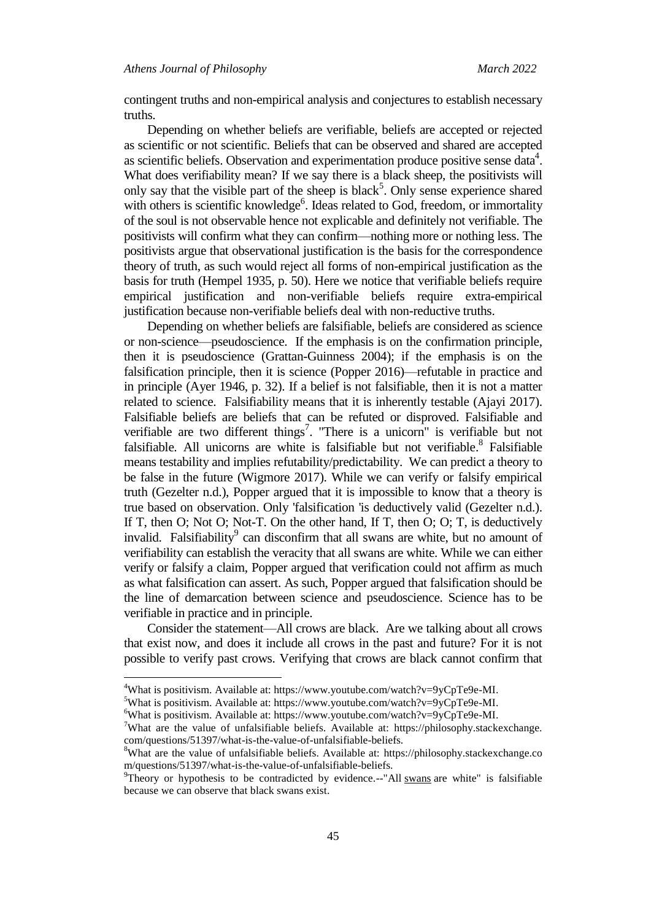contingent truths and non-empirical analysis and conjectures to establish necessary truths.

Depending on whether beliefs are verifiable, beliefs are accepted or rejected as scientific or not scientific. Beliefs that can be observed and shared are accepted as scientific beliefs. Observation and experimentation produce positive sense data $4$ . What does verifiability mean? If we say there is a black sheep, the positivists will only say that the visible part of the sheep is black<sup>5</sup>. Only sense experience shared with others is scientific knowledge<sup>6</sup>. Ideas related to God, freedom, or immortality of the soul is not observable hence not explicable and definitely not verifiable. The positivists will confirm what they can confirm—nothing more or nothing less. The positivists argue that observational justification is the basis for the correspondence theory of truth, as such would reject all forms of non-empirical justification as the basis for truth (Hempel 1935, p. 50). Here we notice that verifiable beliefs require empirical justification and non-verifiable beliefs require extra-empirical justification because non-verifiable beliefs deal with non-reductive truths.

Depending on whether beliefs are falsifiable, beliefs are considered as science or non-science—pseudoscience. If the emphasis is on the confirmation principle, then it is pseudoscience (Grattan-Guinness 2004); if the emphasis is on the falsification principle, then it is science (Popper 2016)—refutable in practice and in principle (Ayer 1946, p. 32). If a belief is not falsifiable, then it is not a matter related to science. Falsifiability means that it is inherently testable (Ajayi 2017). Falsifiable beliefs are beliefs that can be refuted or disproved. Falsifiable and verifiable are two different things<sup>7</sup>. "There is a unicorn" is verifiable but not falsifiable. All unicorns are white is falsifiable but not verifiable.<sup>8</sup> Falsifiable means testability and implies refutability/predictability. We can predict a theory to be false in the future (Wigmore 2017). While we can verify or falsify empirical truth (Gezelter n.d.), Popper argued that it is impossible to know that a theory is true based on observation. Only 'falsification 'is deductively valid (Gezelter n.d.). If T, then O; Not O; Not-T. On the other hand, If T, then O; O; T, is deductively invalid. Falsifiability<sup>9</sup> can disconfirm that all swans are white, but no amount of verifiability can establish the veracity that all swans are white. While we can either verify or falsify a claim, Popper argued that verification could not affirm as much as what falsification can assert. As such, Popper argued that falsification should be the line of demarcation between science and pseudoscience. Science has to be verifiable in practice and in principle.

Consider the statement—All crows are black. Are we talking about all crows that exist now, and does it include all crows in the past and future? For it is not possible to verify past crows. Verifying that crows are black cannot confirm that

 $\overline{a}$ 

<sup>&</sup>lt;sup>4</sup>What is positivism. Available at[: https://www.youtube.com/watch?v=9yCpTe9e-MI.](https://www.youtube.com/watch?v=9yCpTe9e-MI)

<sup>&</sup>lt;sup>5</sup>What is positivism. Available at[: https://www.youtube.com/watch?v=9yCpTe9e-MI.](https://www.youtube.com/watch?v=9yCpTe9e-MI)

<sup>&</sup>lt;sup>6</sup>What is positivism. Available at[: https://www.youtube.com/watch?v=9yCpTe9e-MI.](https://www.youtube.com/watch?v=9yCpTe9e-MI)

<sup>&</sup>lt;sup>7</sup>What are the value of unfalsifiable beliefs. Available at: https://philosophy.stackexchange. com/questions/51397/what-is-the-value-of-unfalsifiable-beliefs.

<sup>8</sup>What are the value of unfalsifiable beliefs. Available at: https://philosophy.stackexchange.co m/questions/51397/what-is-the-value-of-unfalsifiable-beliefs.

<sup>&</sup>lt;sup>9</sup>Theory or hypothesis to be contradicted by evidence.--"All [swans](https://en.wikipedia.org/wiki/Swan) are white" is falsifiable because we can observe that black swans exist.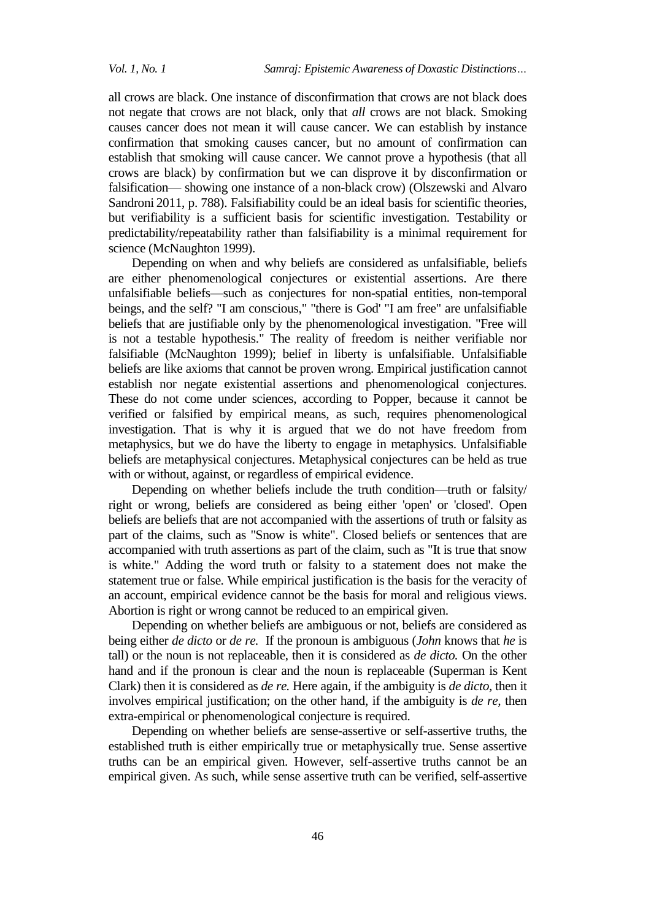all crows are black. One instance of disconfirmation that crows are not black does not negate that crows are not black, only that *all* crows are not black. Smoking causes cancer does not mean it will cause cancer. We can establish by instance confirmation that smoking causes cancer, but no amount of confirmation can establish that smoking will cause cancer. We cannot prove a hypothesis (that all crows are black) by confirmation but we can disprove it by disconfirmation or falsification— showing one instance of a non-black crow) (Olszewski and Alvaro Sandroni 2011, p. 788). Falsifiability could be an ideal basis for scientific theories, but verifiability is a sufficient basis for scientific investigation. Testability or predictability/repeatability rather than falsifiability is a minimal requirement for science (McNaughton 1999).

Depending on when and why beliefs are considered as unfalsifiable, beliefs are either phenomenological conjectures or existential assertions. Are there unfalsifiable beliefs—such as conjectures for non-spatial entities, non-temporal beings, and the self? "I am conscious," "there is God' "I am free" are unfalsifiable beliefs that are justifiable only by the phenomenological investigation. "Free will is not a testable hypothesis." The reality of freedom is neither verifiable nor falsifiable (McNaughton 1999); belief in liberty is unfalsifiable. Unfalsifiable beliefs are like axioms that cannot be proven wrong. Empirical justification cannot establish nor negate existential assertions and phenomenological conjectures. These do not come under sciences, according to Popper, because it cannot be verified or falsified by empirical means, as such, requires phenomenological investigation. That is why it is argued that we do not have freedom from metaphysics, but we do have the liberty to engage in metaphysics. Unfalsifiable beliefs are metaphysical conjectures. Metaphysical conjectures can be held as true with or without, against, or regardless of empirical evidence.

Depending on whether beliefs include the truth condition—truth or falsity/ right or wrong, beliefs are considered as being either 'open' or 'closed'. Open beliefs are beliefs that are not accompanied with the assertions of truth or falsity as part of the claims, such as "Snow is white". Closed beliefs or sentences that are accompanied with truth assertions as part of the claim, such as "It is true that snow is white." Adding the word truth or falsity to a statement does not make the statement true or false. While empirical justification is the basis for the veracity of an account, empirical evidence cannot be the basis for moral and religious views. Abortion is right or wrong cannot be reduced to an empirical given.

Depending on whether beliefs are ambiguous or not, beliefs are considered as being either *de dicto* or *de re.* If the pronoun is ambiguous (*John* knows that *he* is tall) or the noun is not replaceable, then it is considered as *de dicto.* On the other hand and if the pronoun is clear and the noun is replaceable (Superman is Kent Clark) then it is considered as *de re.* Here again, if the ambiguity is *de dicto,* then it involves empirical justification; on the other hand, if the ambiguity is *de re,* then extra-empirical or phenomenological conjecture is required.

Depending on whether beliefs are sense-assertive or self-assertive truths, the established truth is either empirically true or metaphysically true. Sense assertive truths can be an empirical given. However, self-assertive truths cannot be an empirical given. As such, while sense assertive truth can be verified, self-assertive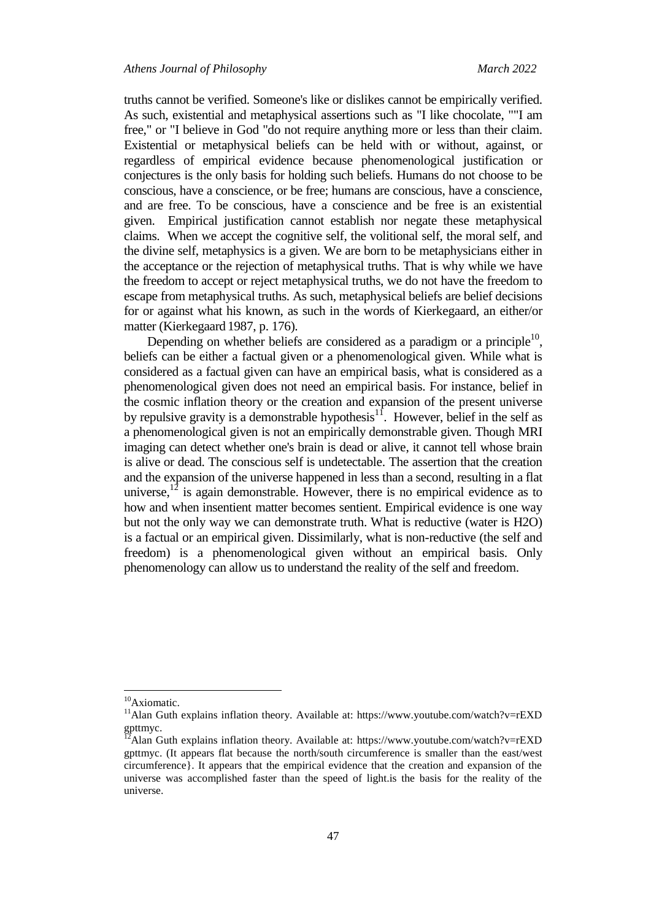truths cannot be verified. Someone's like or dislikes cannot be empirically verified. As such, existential and metaphysical assertions such as "I like chocolate, ""I am free," or "I believe in God "do not require anything more or less than their claim. Existential or metaphysical beliefs can be held with or without, against, or regardless of empirical evidence because phenomenological justification or conjectures is the only basis for holding such beliefs. Humans do not choose to be conscious, have a conscience, or be free; humans are conscious, have a conscience, and are free. To be conscious, have a conscience and be free is an existential given. Empirical justification cannot establish nor negate these metaphysical claims. When we accept the cognitive self, the volitional self, the moral self, and the divine self, metaphysics is a given. We are born to be metaphysicians either in the acceptance or the rejection of metaphysical truths. That is why while we have the freedom to accept or reject metaphysical truths, we do not have the freedom to escape from metaphysical truths. As such, metaphysical beliefs are belief decisions for or against what his known, as such in the words of Kierkegaard, an either/or matter (Kierkegaard 1987, p. 176).

Depending on whether beliefs are considered as a paradigm or a principle $^{10}$ , beliefs can be either a factual given or a phenomenological given. While what is considered as a factual given can have an empirical basis, what is considered as a phenomenological given does not need an empirical basis. For instance, belief in the cosmic inflation theory or the creation and expansion of the present universe by repulsive gravity is a demonstrable hypothesis<sup>11</sup>. However, belief in the self as a phenomenological given is not an empirically demonstrable given. Though MRI imaging can detect whether one's brain is dead or alive, it cannot tell whose brain is alive or dead. The conscious self is undetectable. The assertion that the creation and the expansion of the universe happened in less than a second, resulting in a flat universe,  $12$  is again demonstrable. However, there is no empirical evidence as to how and when insentient matter becomes sentient. Empirical evidence is one way but not the only way we can demonstrate truth. What is reductive (water is H2O) is a factual or an empirical given. Dissimilarly, what is non-reductive (the self and freedom) is a phenomenological given without an empirical basis. Only phenomenology can allow us to understand the reality of the self and freedom.

 $\overline{\phantom{a}}$ 

<sup>&</sup>lt;sup>10</sup>Axiomatic.

<sup>11</sup>Alan Guth explains inflation theory. Available at: https://www.youtube.com/watch?v=rEXD gpttmyc.

 $^{12}$ Alan Guth explains inflation theory. Available at: https://www.youtube.com/watch?v=rEXD gpttmyc. (It appears flat because the north/south circumference is smaller than the east/west circumference}. It appears that the empirical evidence that the creation and expansion of the universe was accomplished faster than the speed of light.is the basis for the reality of the universe.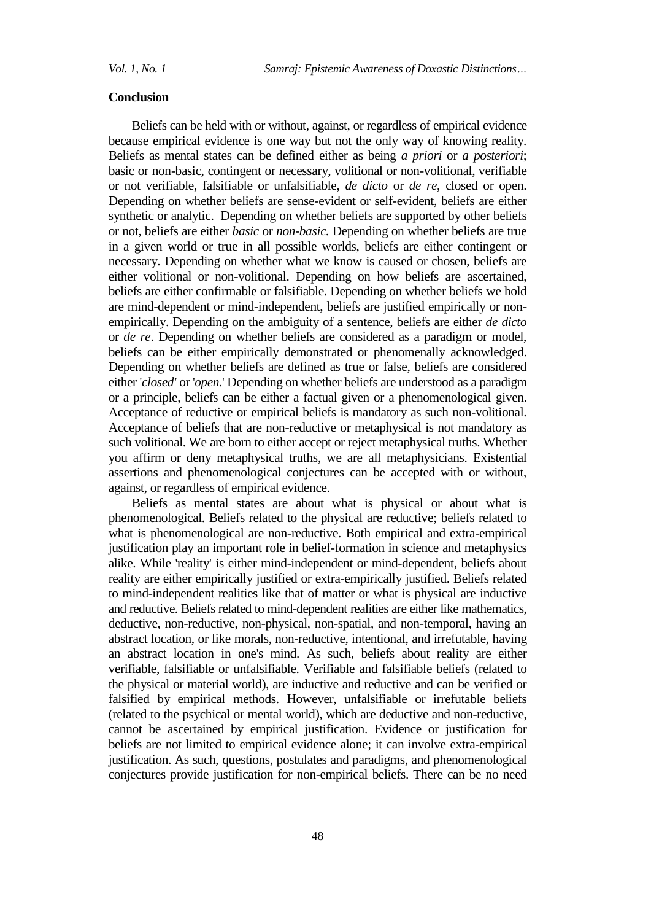#### **Conclusion**

Beliefs can be held with or without, against, or regardless of empirical evidence because empirical evidence is one way but not the only way of knowing reality. Beliefs as mental states can be defined either as being *a priori* or *a posteriori*; basic or non-basic, contingent or necessary, volitional or non-volitional, verifiable or not verifiable, falsifiable or unfalsifiable, *de dicto* or *de re*, closed or open. Depending on whether beliefs are sense-evident or self-evident, beliefs are either synthetic or analytic. Depending on whether beliefs are supported by other beliefs or not, beliefs are either *basic* or *non-basic.* Depending on whether beliefs are true in a given world or true in all possible worlds, beliefs are either contingent or necessary. Depending on whether what we know is caused or chosen, beliefs are either volitional or non-volitional. Depending on how beliefs are ascertained, beliefs are either confirmable or falsifiable. Depending on whether beliefs we hold are mind-dependent or mind-independent, beliefs are justified empirically or nonempirically. Depending on the ambiguity of a sentence, beliefs are either *de dicto* or *de re*. Depending on whether beliefs are considered as a paradigm or model, beliefs can be either empirically demonstrated or phenomenally acknowledged. Depending on whether beliefs are defined as true or false, beliefs are considered either '*closed'* or '*open.*' Depending on whether beliefs are understood as a paradigm or a principle, beliefs can be either a factual given or a phenomenological given. Acceptance of reductive or empirical beliefs is mandatory as such non-volitional. Acceptance of beliefs that are non-reductive or metaphysical is not mandatory as such volitional. We are born to either accept or reject metaphysical truths. Whether you affirm or deny metaphysical truths, we are all metaphysicians. Existential assertions and phenomenological conjectures can be accepted with or without, against, or regardless of empirical evidence.

Beliefs as mental states are about what is physical or about what is phenomenological. Beliefs related to the physical are reductive; beliefs related to what is phenomenological are non-reductive. Both empirical and extra-empirical justification play an important role in belief-formation in science and metaphysics alike. While 'reality' is either mind-independent or mind-dependent, beliefs about reality are either empirically justified or extra-empirically justified. Beliefs related to mind-independent realities like that of matter or what is physical are inductive and reductive. Beliefs related to mind-dependent realities are either like mathematics, deductive, non-reductive, non-physical, non-spatial, and non-temporal, having an abstract location, or like morals, non-reductive, intentional, and irrefutable, having an abstract location in one's mind. As such, beliefs about reality are either verifiable, falsifiable or unfalsifiable. Verifiable and falsifiable beliefs (related to the physical or material world), are inductive and reductive and can be verified or falsified by empirical methods. However, unfalsifiable or irrefutable beliefs (related to the psychical or mental world), which are deductive and non-reductive, cannot be ascertained by empirical justification. Evidence or justification for beliefs are not limited to empirical evidence alone; it can involve extra-empirical justification. As such, questions, postulates and paradigms, and phenomenological conjectures provide justification for non-empirical beliefs. There can be no need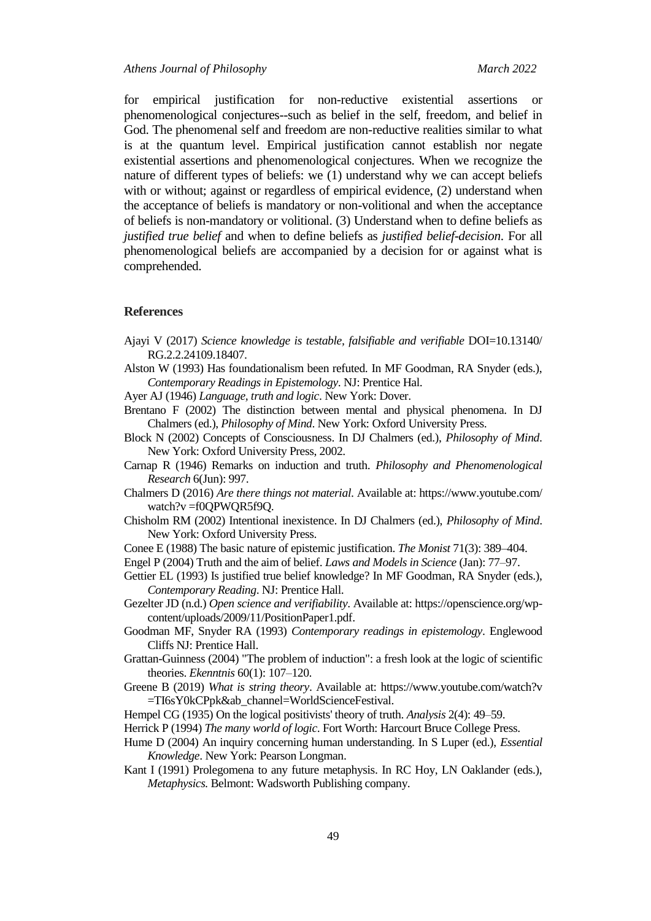*Athens Journal of Philosophy March 2022*

for empirical justification for non-reductive existential assertions or phenomenological conjectures--such as belief in the self, freedom, and belief in God. The phenomenal self and freedom are non-reductive realities similar to what is at the quantum level. Empirical justification cannot establish nor negate existential assertions and phenomenological conjectures. When we recognize the nature of different types of beliefs: we (1) understand why we can accept beliefs with or without; against or regardless of empirical evidence, (2) understand when the acceptance of beliefs is mandatory or non-volitional and when the acceptance of beliefs is non-mandatory or volitional. (3) Understand when to define beliefs as *justified true belief* and when to define beliefs as *justified belief-decision*. For all phenomenological beliefs are accompanied by a decision for or against what is comprehended.

#### **References**

- Ajayi V (2017) *Science knowledge is testable, falsifiable and verifiable* DOI=10.13140/ RG.2.2.24109.18407.
- Alston W (1993) Has foundationalism been refuted. In MF Goodman, RA Snyder (eds.), *Contemporary Readings in Epistemology*. NJ: Prentice Hal.

Ayer AJ (1946) *Language, truth and logic*. New York: Dover.

- Brentano F (2002) The distinction between mental and physical phenomena. In DJ Chalmers (ed.), *Philosophy of Mind*. New York: Oxford University Press.
- Block N (2002) Concepts of Consciousness. In DJ Chalmers (ed.), *Philosophy of Mind*. New York: Oxford University Press, 2002.
- Carnap R (1946) Remarks on induction and truth. *Philosophy and Phenomenological Research* 6(Jun): 997.
- Chalmers D (2016) *Are there things not material*. Available at: https://www.youtube.com/ watch?v =f0QPWQR5f9Q.
- Chisholm RM (2002) Intentional inexistence. In DJ Chalmers (ed.), *Philosophy of Mind*. New York: Oxford University Press.
- Conee E (1988) The basic nature of epistemic justification. *The Monist* 71(3): 389–404.
- Engel P (2004) Truth and the aim of belief. *Laws and Models in Science* (Jan): 77–97.
- Gettier EL (1993) Is justified true belief knowledge? In MF Goodman, RA Snyder (eds.), *Contemporary Reading*. NJ: Prentice Hall.
- Gezelter JD (n.d.) *Open science and verifiability*. Available at[: https://openscience.org/wp](https://openscience.org/wp-content/uploads/2009/11/PositionPaper1.pdf)[content/uploads/2009/11/PositionPaper1.pdf.](https://openscience.org/wp-content/uploads/2009/11/PositionPaper1.pdf)
- Goodman MF, Snyder RA (1993) *Contemporary readings in epistemology*. Englewood Cliffs NJ: Prentice Hall.
- Grattan-Guinness (2004) "The problem of induction": a fresh look at the logic of scientific theories. *Ekenntnis* 60(1): 107–120.
- Greene B (2019) *What is string theory*. Available at: https://www.youtube.com/watch?v =TI6sY0kCPpk&ab\_channel=WorldScienceFestival.
- Hempel CG (1935) On the logical positivists' theory of truth. *Analysis* 2(4): 49–59.
- Herrick P (1994) *The many world of logic*. Fort Worth: Harcourt Bruce College Press.
- Hume D (2004) An inquiry concerning human understanding. In S Luper (ed.), *Essential Knowledge*. New York: Pearson Longman.
- Kant I (1991) Prolegomena to any future metaphysis. In RC Hoy, LN Oaklander (eds.), *Metaphysics.* Belmont: Wadsworth Publishing company.